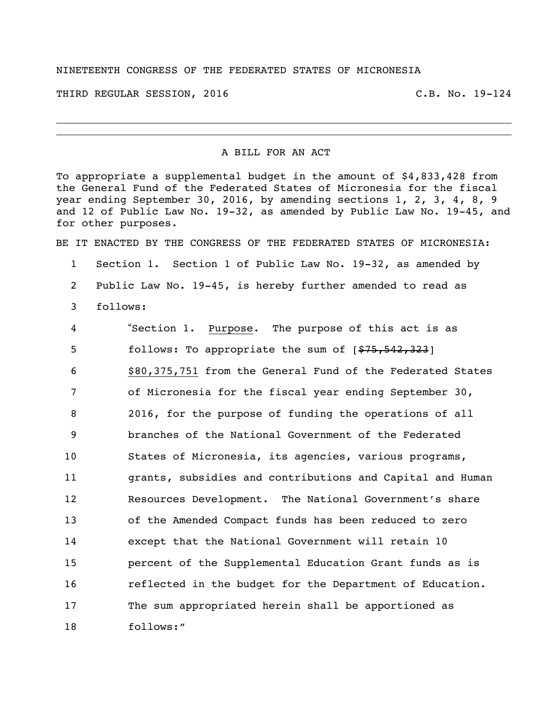## NINETEENTH CONGRESS OF THE FEDERATED STATES OF MICRONESIA

THIRD REGULAR SESSION, 2016 C.B. No. 19-124

## A BILL FOR AN ACT

To appropriate a supplemental budget in the amount of \$4,833,428 from the General Fund of the Federated States of Micronesia for the fiscal year ending September 30, 2016, by amending sections 1, 2, 3, 4, 8, 9 and 12 of Public Law No. 19-32, as amended by Public Law No. 19-45, and for other purposes.

BE IT ENACTED BY THE CONGRESS OF THE FEDERATED STATES OF MICRONESIA:

 Section 1. Section 1 of Public Law No. 19-32, as amended by Public Law No. 19-45, is hereby further amended to read as follows:

 "Section 1. Purpose. The purpose of this act is as 5 follows: To appropriate the sum of  $[$75,542,323]$  \$80,375,751 from the General Fund of the Federated States of Micronesia for the fiscal year ending September 30, 2016, for the purpose of funding the operations of all branches of the National Government of the Federated States of Micronesia, its agencies, various programs, grants, subsidies and contributions and Capital and Human Resources Development. The National Government's share of the Amended Compact funds has been reduced to zero except that the National Government will retain 10 percent of the Supplemental Education Grant funds as is reflected in the budget for the Department of Education. The sum appropriated herein shall be apportioned as follows:"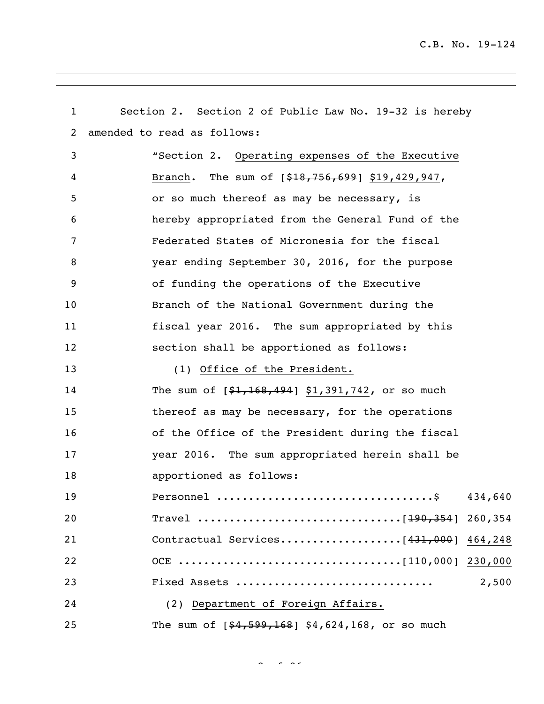| $\mathbf{1}$   | Section 2. Section 2 of Public Law No. 19-32 is hereby |
|----------------|--------------------------------------------------------|
| $\overline{2}$ | amended to read as follows:                            |
| 3              | "Section 2. Operating expenses of the Executive        |
| 4              | Branch. The sum of $[$18,756,699]$ \$19,429,947,       |
| 5              | or so much thereof as may be necessary, is             |
| 6              | hereby appropriated from the General Fund of the       |
| 7              | Federated States of Micronesia for the fiscal          |
| 8              | year ending September 30, 2016, for the purpose        |
| 9              | of funding the operations of the Executive             |
| 10             | Branch of the National Government during the           |
| 11             | fiscal year 2016. The sum appropriated by this         |
| 12             | section shall be apportioned as follows:               |
| 13             | (1) Office of the President.                           |
| 14             | The sum of $[$1,168,494]$ \$1,391,742, or so much      |
| 15             | thereof as may be necessary, for the operations        |
| 16             | of the Office of the President during the fiscal       |
| 17             | year 2016. The sum appropriated herein shall be        |
| 18             | apportioned as follows:                                |
| 19             | 434,640                                                |
| 20             | Travel [190,354] 260,354                               |
| 21             | Contractual Services[431,000] 464,248                  |
| 22             |                                                        |
| 23             | 2,500<br>Fixed Assets                                  |
| 24             | (2) Department of Foreign Affairs.                     |
| 25             | The sum of $[$4,599,168]$ \$4,624,168, or so much      |

 $2 \times 266$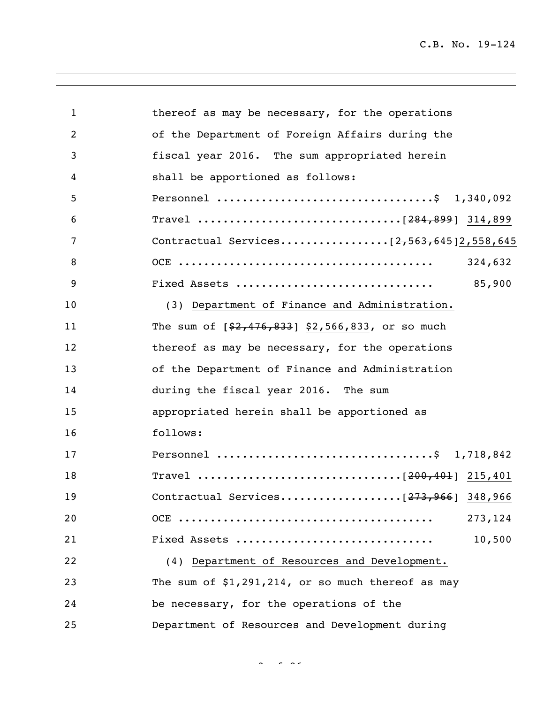| $\mathbf{1}$ | thereof as may be necessary, for the operations     |
|--------------|-----------------------------------------------------|
| 2            | of the Department of Foreign Affairs during the     |
| 3            | fiscal year 2016. The sum appropriated herein       |
| 4            | shall be apportioned as follows:                    |
| 5            | Personnel \$ 1,340,092                              |
| 6            |                                                     |
| 7            |                                                     |
| 8            | 324,632                                             |
| 9            | 85,900<br>Fixed Assets                              |
| 10           | (3) Department of Finance and Administration.       |
| 11           | The sum of $[$2,476,833]$ \$2,566,833, or so much   |
| 12           | thereof as may be necessary, for the operations     |
| 13           | of the Department of Finance and Administration     |
| 14           | during the fiscal year 2016. The sum                |
| 15           | appropriated herein shall be apportioned as         |
| 16           | follows:                                            |
| 17           | Personnel \$ 1,718,842                              |
| 18           |                                                     |
| 19           | Contractual Services[273,966] 348,966               |
| 20           | 273, 124                                            |
| 21           | 10,500<br>Fixed Assets                              |
| 22           | (4) Department of Resources and Development.        |
| 23           | The sum of $$1,291,214$ , or so much thereof as may |
| 24           | be necessary, for the operations of the             |
| 25           | Department of Resources and Development during      |

 $\sim$   $\sim$   $\sim$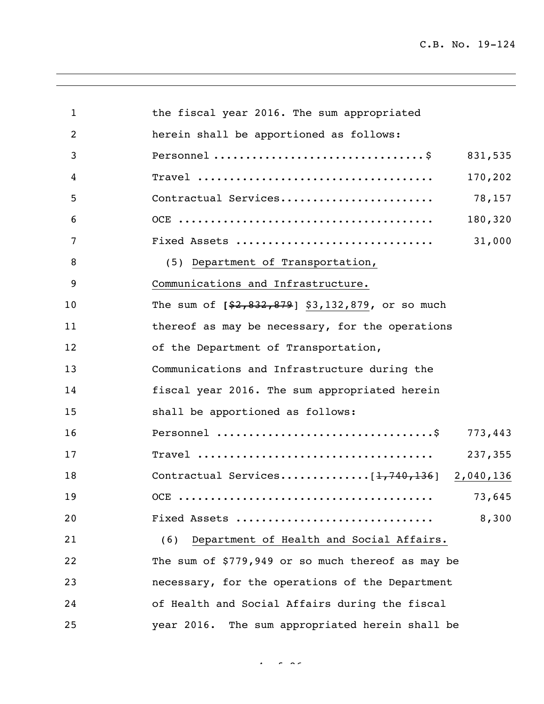| $\mathbf{1}$ | the fiscal year 2016. The sum appropriated        |
|--------------|---------------------------------------------------|
| 2            | herein shall be apportioned as follows:           |
| 3            | 831,535                                           |
| 4            | 170,202                                           |
| 5            | 78,157<br>Contractual Services                    |
| 6            | 180,320                                           |
| 7            | Fixed Assets<br>31,000                            |
| 8            | (5) Department of Transportation,                 |
| 9            | Communications and Infrastructure.                |
| 10           | The sum of [\$2,832,879] \$3,132,879, or so much  |
| 11           | thereof as may be necessary, for the operations   |
| 12           | of the Department of Transportation,              |
| 13           | Communications and Infrastructure during the      |
| 14           | fiscal year 2016. The sum appropriated herein     |
| 15           | shall be apportioned as follows:                  |
| 16           | 773,443                                           |
| 17           | 237,355                                           |
| 18           | Contractual Services $[1, 740, 136]$ 2,040,136    |
| 19           | 73,645                                            |
| 20           | 8,300<br>Fixed Assets                             |
| 21           | Department of Health and Social Affairs.<br>(6)   |
| 22           | The sum of \$779,949 or so much thereof as may be |
| 23           | necessary, for the operations of the Department   |
| 24           | of Health and Social Affairs during the fiscal    |
| 25           | year 2016. The sum appropriated herein shall be   |

 $4 - 26$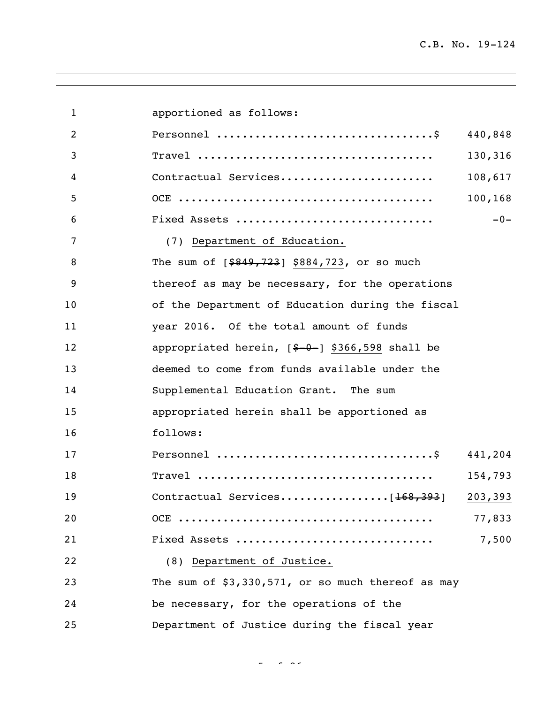| 1  | apportioned as follows:                             |         |
|----|-----------------------------------------------------|---------|
| 2  |                                                     | 440,848 |
| 3  |                                                     | 130,316 |
| 4  | Contractual Services                                | 108,617 |
| 5  |                                                     | 100,168 |
| 6  | Fixed Assets                                        | $-0-$   |
| 7  | (7) Department of Education.                        |         |
| 8  | The sum of $[ $849, 723]$ \$884,723, or so much     |         |
| 9  | thereof as may be necessary, for the operations     |         |
| 10 | of the Department of Education during the fiscal    |         |
| 11 | year 2016. Of the total amount of funds             |         |
| 12 | appropriated herein, $[$-0-]$ \$366,598 shall be    |         |
| 13 | deemed to come from funds available under the       |         |
| 14 | Supplemental Education Grant. The sum               |         |
| 15 | appropriated herein shall be apportioned as         |         |
| 16 | follows:                                            |         |
| 17 |                                                     | 441,204 |
| 18 |                                                     | 154,793 |
| 19 | Contractual Services[168,393]                       | 203,393 |
| 20 |                                                     | 77,833  |
| 21 | Fixed Assets                                        | 7,500   |
| 22 | (8) Department of Justice.                          |         |
| 23 | The sum of $$3,330,571$ , or so much thereof as may |         |
| 24 | be necessary, for the operations of the             |         |
| 25 | Department of Justice during the fiscal year        |         |

 $\frac{1}{2}$  of  $\frac{1}{2}$  of  $\frac{1}{2}$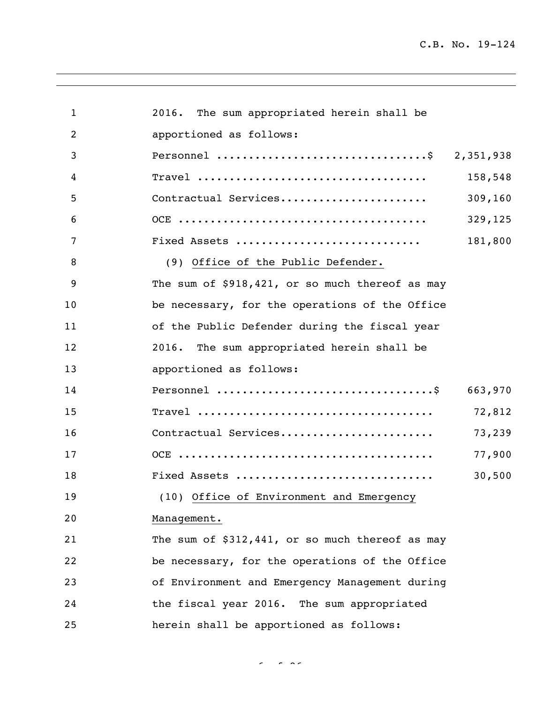| $\mathbf{1}$ | 2016. The sum appropriated herein shall be      |         |
|--------------|-------------------------------------------------|---------|
| 2            | apportioned as follows:                         |         |
| 3            | Personnel \$ 2,351,938                          |         |
| 4            |                                                 | 158,548 |
| 5            | Contractual Services                            | 309,160 |
| 6            |                                                 | 329,125 |
| 7            | Fixed Assets                                    | 181,800 |
| 8            | (9) Office of the Public Defender.              |         |
| 9            | The sum of \$918,421, or so much thereof as may |         |
| 10           | be necessary, for the operations of the Office  |         |
| 11           | of the Public Defender during the fiscal year   |         |
| 12           | 2016. The sum appropriated herein shall be      |         |
| 13           | apportioned as follows:                         |         |
| 14           |                                                 | 663,970 |
| 15           |                                                 | 72,812  |
| 16           | Contractual Services                            | 73,239  |
| 17           |                                                 | 77,900  |
| 18           | Fixed Assets                                    | 30,500  |
| 19           | (10) Office of Environment and Emergency        |         |
| 20           | Management.                                     |         |
| 21           | The sum of \$312,441, or so much thereof as may |         |
| 22           | be necessary, for the operations of the Office  |         |
| 23           | of Environment and Emergency Management during  |         |
| 24           | the fiscal year 2016. The sum appropriated      |         |
| 25           | herein shall be apportioned as follows:         |         |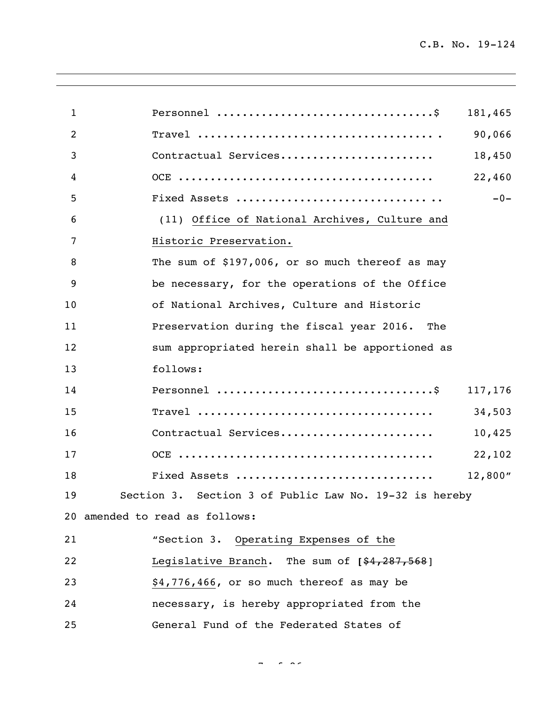| $\mathbf{1}$ | 181,465                                                |
|--------------|--------------------------------------------------------|
| 2            | 90,066                                                 |
| 3            | Contractual Services<br>18,450                         |
| 4            | 22,460                                                 |
| 5            | $-0-$                                                  |
| 6            | (11) Office of National Archives, Culture and          |
| 7            | Historic Preservation.                                 |
| 8            | The sum of \$197,006, or so much thereof as may        |
| 9            | be necessary, for the operations of the Office         |
| 10           | of National Archives, Culture and Historic             |
| 11           | Preservation during the fiscal year 2016. The          |
| 12           | sum appropriated herein shall be apportioned as        |
| 13           | follows:                                               |
| 14           | 117,176                                                |
| 15           | 34,503                                                 |
| 16           | Contractual Services<br>10,425                         |
| 17           | 22,102                                                 |
| 18           | Fixed Assets<br>12,800''                               |
| 19           | Section 3. Section 3 of Public Law No. 19-32 is hereby |
|              | 20 amended to read as follows:                         |
| 21           | "Section 3. Operating Expenses of the                  |
| 22           | Legislative Branch. The sum of [\$4,287,568]           |
| 23           | \$4,776,466, or so much thereof as may be              |
| 24           | necessary, is hereby appropriated from the             |
| 25           | General Fund of the Federated States of                |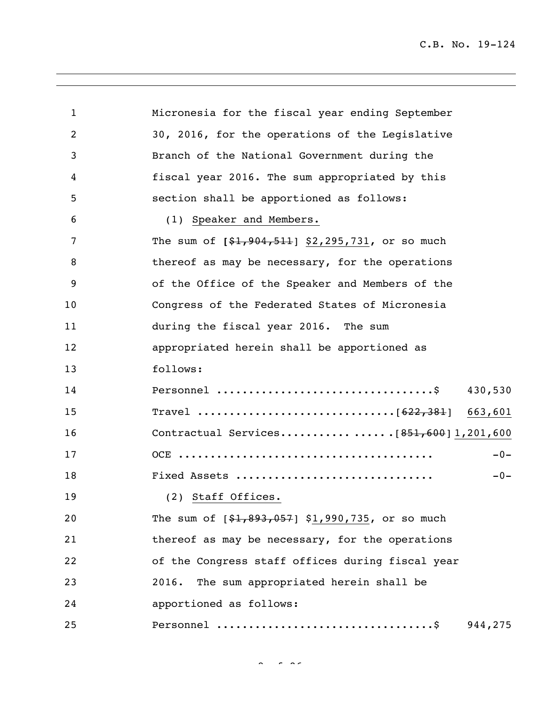| 1  | Micronesia for the fiscal year ending September   |
|----|---------------------------------------------------|
| 2  | 30, 2016, for the operations of the Legislative   |
| 3  | Branch of the National Government during the      |
| 4  | fiscal year 2016. The sum appropriated by this    |
| 5  | section shall be apportioned as follows:          |
| 6  | (1) Speaker and Members.                          |
| 7  | The sum of $[$1,904,511]$ \$2,295,731, or so much |
| 8  | thereof as may be necessary, for the operations   |
| 9  | of the Office of the Speaker and Members of the   |
| 10 | Congress of the Federated States of Micronesia    |
| 11 | during the fiscal year 2016. The sum              |
| 12 | appropriated herein shall be apportioned as       |
| 13 | follows:                                          |
| 14 | 430,530                                           |
| 15 |                                                   |
| 16 |                                                   |
| 17 | $-0-$                                             |
| 18 | Fixed Assets<br>$-0-$                             |
| 19 | (2) Staff Offices.                                |
| 20 | The sum of $[$1,893,057]$ \$1,990,735, or so much |
| 21 | thereof as may be necessary, for the operations   |
| 22 | of the Congress staff offices during fiscal year  |
| 23 | The sum appropriated herein shall be<br>2016.     |
| 24 | apportioned as follows:                           |
| 25 | 944,275                                           |

 $8<sup>2</sup>$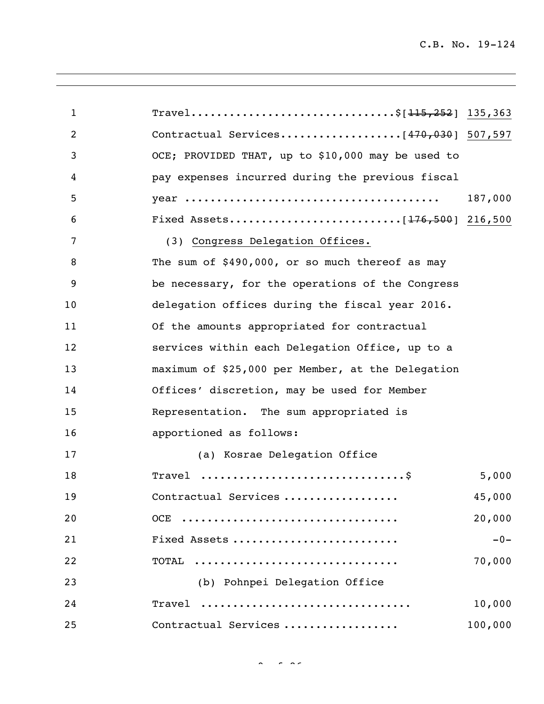| 1              | Travel\$[ <del>115,252</del> ] 135,363                           |         |
|----------------|------------------------------------------------------------------|---------|
| $\overline{2}$ |                                                                  |         |
| 3              | OCE; PROVIDED THAT, up to \$10,000 may be used to                |         |
| 4              | pay expenses incurred during the previous fiscal                 |         |
| 5              |                                                                  | 187,000 |
| 6              |                                                                  |         |
| 7              | (3) Congress Delegation Offices.                                 |         |
| 8              | The sum of \$490,000, or so much thereof as may                  |         |
| 9              | be necessary, for the operations of the Congress                 |         |
| 10             | delegation offices during the fiscal year 2016.                  |         |
| 11             | Of the amounts appropriated for contractual                      |         |
| 12             | services within each Delegation Office, up to a                  |         |
| 13             | maximum of \$25,000 per Member, at the Delegation                |         |
| 14             | Offices' discretion, may be used for Member                      |         |
| 15             | Representation. The sum appropriated is                          |         |
| 16             | apportioned as follows:                                          |         |
| 17             | (a) Kosrae Delegation Office                                     |         |
| 18             | Travel $\dots\dots\dots\dots\dots\dots\dots\dots\dots\dots\dots$ | 5,000   |
| 19             | Contractual Services                                             | 45,000  |
| 20             | OCE                                                              | 20,000  |
| 21             | Fixed Assets                                                     | $-0-$   |
| 22             | TOTAL                                                            | 70,000  |
| 23             | (b) Pohnpei Delegation Office                                    |         |
| 24             | Travel                                                           | 10,000  |
| 25             | Contractual Services                                             | 100,000 |

 $\sigma = 26$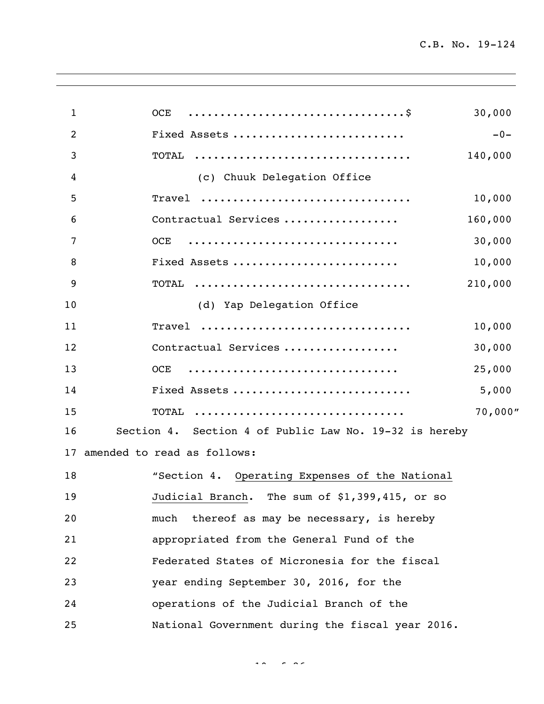| $\mathbf{1}$ | OCE                                                    | 30,000  |
|--------------|--------------------------------------------------------|---------|
| 2            | Fixed Assets                                           | $-0-$   |
| 3            | TOTAL                                                  | 140,000 |
| 4            | (c) Chuuk Delegation Office                            |         |
| 5            | Travel                                                 | 10,000  |
| 6            | Contractual Services                                   | 160,000 |
| 7            | <b>OCE</b>                                             | 30,000  |
| 8            | Fixed Assets                                           | 10,000  |
| 9            | TOTAL                                                  | 210,000 |
| 10           | (d) Yap Delegation Office                              |         |
| 11           | Travel                                                 | 10,000  |
| 12           | Contractual Services                                   | 30,000  |
| 13           | OCE                                                    | 25,000  |
| 14           | Fixed Assets                                           | 5,000   |
| 15           | TOTAL                                                  | 70,000" |
| 16           | Section 4. Section 4 of Public Law No. 19-32 is hereby |         |
|              | 17 amended to read as follows:                         |         |
| 18           | "Section 4. Operating Expenses of the National         |         |
| 19           | Judicial Branch. The sum of \$1,399,415, or so         |         |
| 20           | thereof as may be necessary, is hereby<br>much         |         |
| 21           | appropriated from the General Fund of the              |         |
| 22           | Federated States of Micronesia for the fiscal          |         |
| 23           | year ending September 30, 2016, for the                |         |
| 24           | operations of the Judicial Branch of the               |         |
| 25           | National Government during the fiscal year 2016.       |         |
|              |                                                        |         |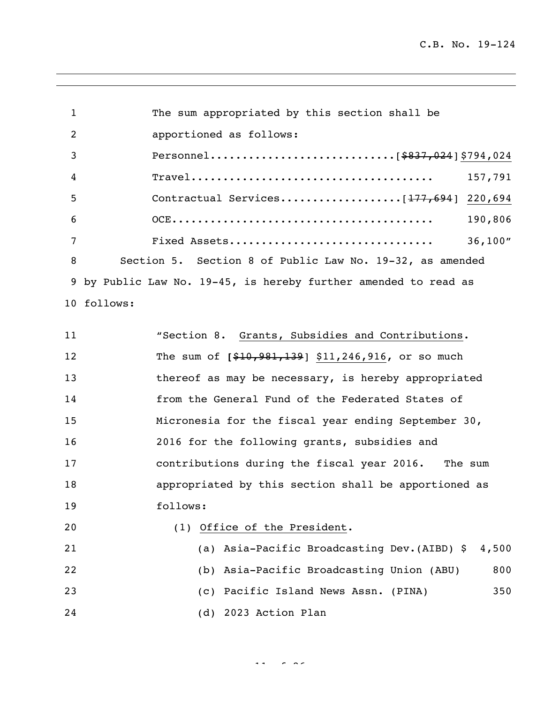| $\mathbf 1$    | The sum appropriated by this section shall be                   |
|----------------|-----------------------------------------------------------------|
| $\overline{2}$ | apportioned as follows:                                         |
| 3              |                                                                 |
| $\overline{4}$ | 157,791                                                         |
| 5              |                                                                 |
| 6              | 190,806                                                         |
| 7              | Fixed Assets<br>36,100"                                         |
| 8              | Section 5. Section 8 of Public Law No. 19-32, as amended        |
|                | 9 by Public Law No. 19-45, is hereby further amended to read as |
|                | 10 follows:                                                     |

| 11 | "Section 8. Grants, Subsidies and Contributions.     |
|----|------------------------------------------------------|
| 12 | The sum of $[$10,981,139]$ \$11,246,916, or so much  |
| 13 | thereof as may be necessary, is hereby appropriated  |
| 14 | from the General Fund of the Federated States of     |
| 15 | Micronesia for the fiscal year ending September 30,  |
| 16 | 2016 for the following grants, subsidies and         |
| 17 | contributions during the fiscal year 2016. The sum   |
| 18 | appropriated by this section shall be apportioned as |
| 19 | follows:                                             |
| 20 | (1) Office of the President.                         |
| 21 | (a) Asia-Pacific Broadcasting Dev. (AIBD) \$ 4,500   |
|    |                                                      |

## (b) Asia-Pacific Broadcasting Union (ABU) 800 (c) Pacific Island News Assn. (PINA) 350 (d) 2023 Action Plan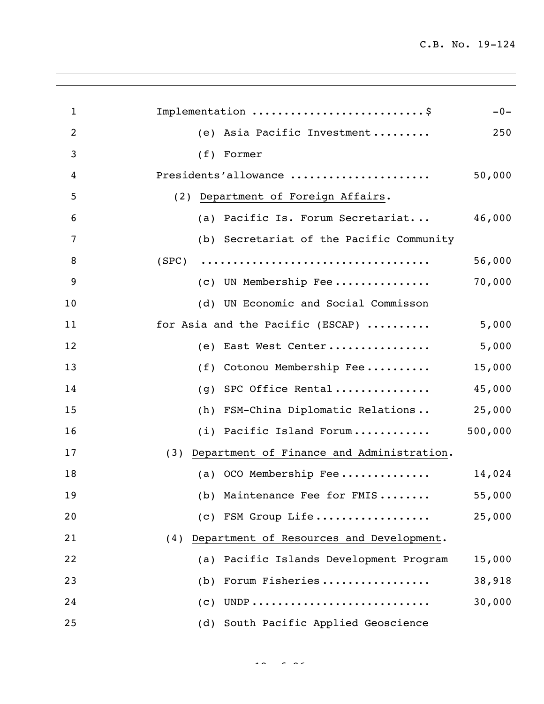| 1  | Implementation \$                                | $-0-$   |
|----|--------------------------------------------------|---------|
| 2  | Asia Pacific Investment<br>(e)                   | 250     |
| 3  | (f)<br>Former                                    |         |
| 4  | Presidents'allowance                             | 50,000  |
| 5  | (2) Department of Foreign Affairs.               |         |
| 6  | (a) Pacific Is. Forum Secretariat                | 46,000  |
| 7  | (b) Secretariat of the Pacific Community         |         |
| 8  | (SPC)                                            | 56,000  |
| 9  | (c) UN Membership Fee                            | 70,000  |
| 10 | (d) UN Economic and Social Commisson             |         |
| 11 | for Asia and the Pacific (ESCAP)                 | 5,000   |
| 12 | East West Center<br>(e)                          | 5,000   |
| 13 | Cotonou Membership Fee<br>(f)                    | 15,000  |
| 14 | SPC Office Rental<br>(q)                         | 45,000  |
| 15 | FSM-China Diplomatic Relations<br>(h)            | 25,000  |
| 16 | (i) Pacific Island Forum                         | 500,000 |
| 17 | Department of Finance and Administration.<br>(3) |         |
| 18 | (a) OCO Membership Fee                           | 14,024  |
| 19 | (b) Maintenance Fee for FMIS                     | 55,000  |
| 20 | (c) FSM Group Life                               | 25,000  |
| 21 | Department of Resources and Development.<br>(4)  |         |
| 22 | (a) Pacific Islands Development Program          | 15,000  |
| 23 | Forum Fisheries<br>(b)                           | 38,918  |
| 24 | $\left( c\right)$                                | 30,000  |
| 25 | South Pacific Applied Geoscience<br>(d)          |         |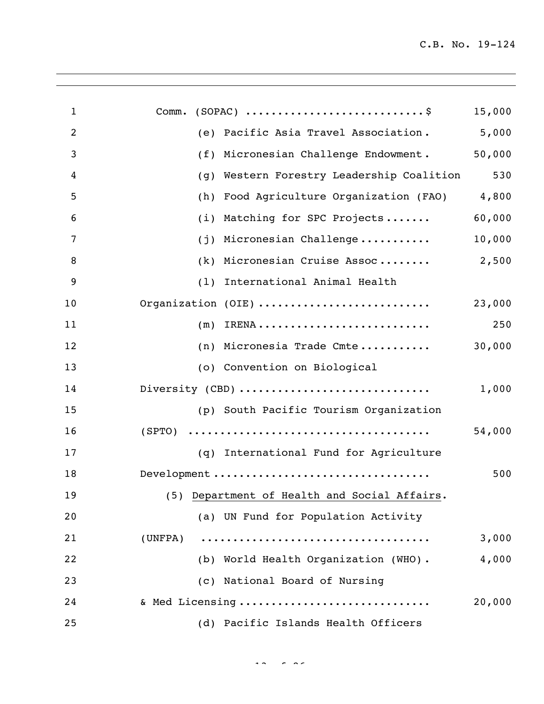| $\mathbf{1}$   | $(SOPAC)$ \$<br>Comm.                        | 15,000 |
|----------------|----------------------------------------------|--------|
| $\overline{c}$ | Pacific Asia Travel Association.<br>(e)      | 5,000  |
| 3              | Micronesian Challenge Endowment.<br>(f)      | 50,000 |
| 4              | Western Forestry Leadership Coalition<br>(g) | 530    |
| 5              | Food Agriculture Organization (FAO)<br>(h)   | 4,800  |
| 6              | Matching for SPC Projects<br>(i)             | 60,000 |
| 7              | Micronesian Challenge<br>(j)                 | 10,000 |
| 8              | Micronesian Cruise Assoc<br>(k)              | 2,500  |
| 9              | International Animal Health<br>(1)           |        |
| 10             | Organization (OIE)                           | 23,000 |
| 11             | (m)                                          | 250    |
| 12             | (n) Micronesia Trade Cmte                    | 30,000 |
| 13             | (o) Convention on Biological                 |        |
| 14             | Diversity (CBD)                              | 1,000  |
| 15             | (p) South Pacific Tourism Organization       |        |
| 16             |                                              | 54,000 |
| 17             | (q) International Fund for Agriculture       |        |
| 18             | Development                                  | 500    |
| 19             | (5) Department of Health and Social Affairs. |        |
| 20             | (a) UN Fund for Population Activity          |        |
| 21             | (UNFPA)                                      | 3,000  |
| 22             | (b) World Health Organization (WHO).         | 4,000  |
| 23             | (c) National Board of Nursing                |        |
| 24             | & Med Licensing                              | 20,000 |
| 25             | (d) Pacific Islands Health Officers          |        |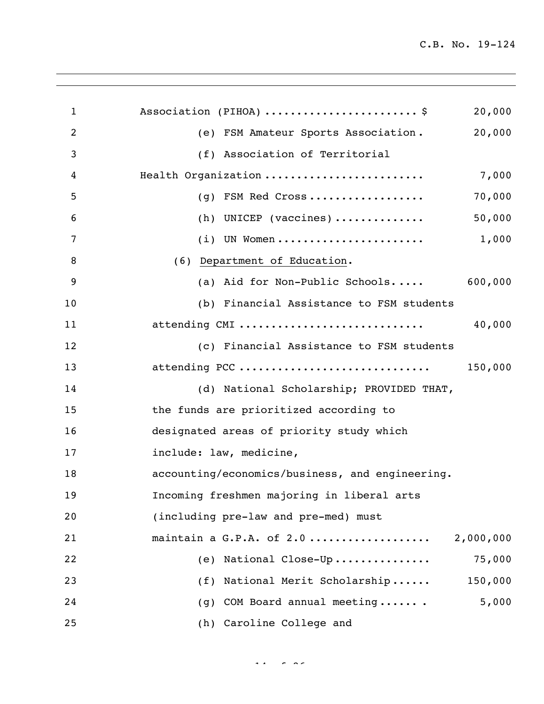| 1              | Association (PIHOA) \$<br>20,000                |
|----------------|-------------------------------------------------|
| $\overline{2}$ | 20,000<br>(e) FSM Amateur Sports Association.   |
| 3              | (f) Association of Territorial                  |
| 4              | Health Organization<br>7,000                    |
| 5              | 70,000<br>FSM Red Cross<br>(q)                  |
| 6              | 50,000<br>(h) UNICEP (vaccines)                 |
| 7              | 1,000<br>UN Women<br>(i)                        |
| 8              | (6) Department of Education.                    |
| 9              | (a) Aid for Non-Public Schools<br>600,000       |
| 10             | (b) Financial Assistance to FSM students        |
| 11             | attending CMI<br>40,000                         |
| 12             | (c) Financial Assistance to FSM students        |
| 13             | attending PCC<br>150,000                        |
| 14             | (d) National Scholarship; PROVIDED THAT,        |
| 15             | the funds are prioritized according to          |
| 16             | designated areas of priority study which        |
| 17             | include: law, medicine,                         |
| 18             | accounting/economics/business, and engineering. |
| 19             | Incoming freshmen majoring in liberal arts      |
| 20             | (including pre-law and pre-med) must            |
| 21             | maintain a G.P.A. of 2.0<br>2,000,000           |
| 22             | 75,000<br>(e) National Close-Up                 |
| 23             | National Merit Scholarship<br>150,000<br>(f)    |
| 24             | COM Board annual meeting<br>5,000<br>(g)        |
| 25             | (h) Caroline College and                        |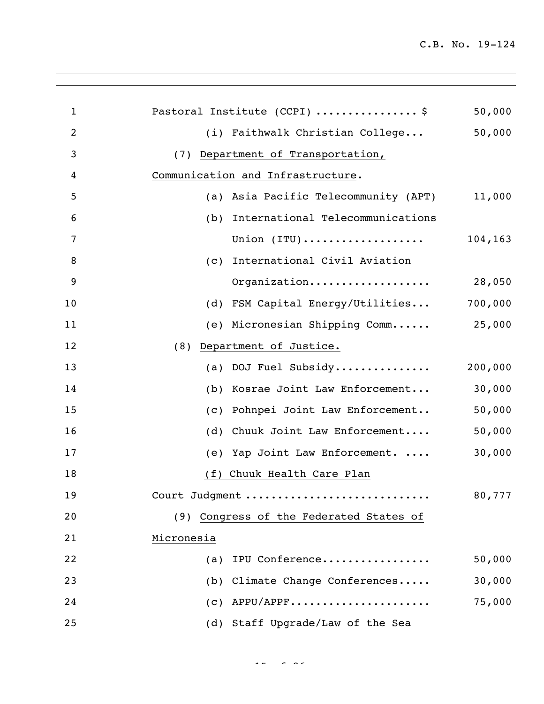| Pastoral Institute (CCPI) \$            | 50,000  |
|-----------------------------------------|---------|
| (i) Faithwalk Christian College         | 50,000  |
| (7) Department of Transportation,       |         |
| Communication and Infrastructure.       |         |
| (a) Asia Pacific Telecommunity (APT)    | 11,000  |
| (b) International Telecommunications    |         |
| Union (ITU)                             | 104,163 |
| (c) International Civil Aviation        |         |
| Organization                            | 28,050  |
| (d) FSM Capital Energy/Utilities        | 700,000 |
| (e) Micronesian Shipping Comm 25,000    |         |
| Department of Justice.<br>(8)           |         |
| (a) DOJ Fuel Subsidy                    | 200,000 |
| (b) Kosrae Joint Law Enforcement        | 30,000  |
| (c) Pohnpei Joint Law Enforcement       | 50,000  |
| (d) Chuuk Joint Law Enforcement         | 50,000  |
| (e) Yap Joint Law Enforcement.          | 30,000  |
| (f) Chuuk Health Care Plan              |         |
| Court Judgment                          | 80,777  |
| (9) Congress of the Federated States of |         |
| Micronesia                              |         |
| IPU Conference<br>(a)                   | 50,000  |
| (b) Climate Change Conferences          | 30,000  |
| $(c)$ APPU/APPF                         | 75,000  |
| (d) Staff Upgrade/Law of the Sea        |         |
|                                         |         |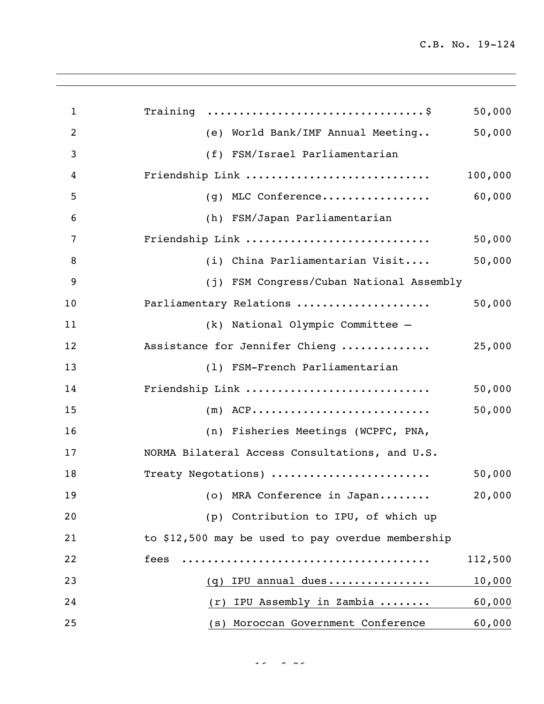| $\mathbf{1}$   | Training $\ldots \ldots \ldots \ldots \ldots \ldots \ldots \ldots \ldots \ldots \$ | 50,000  |
|----------------|------------------------------------------------------------------------------------|---------|
| $\overline{2}$ | (e) World Bank/IMF Annual Meeting                                                  | 50,000  |
| 3              | (f) FSM/Israel Parliamentarian                                                     |         |
| 4              | Friendship Link                                                                    | 100,000 |
| 5              | (g) MLC Conference                                                                 | 60,000  |
| 6              | (h) FSM/Japan Parliamentarian                                                      |         |
| 7              | Friendship Link                                                                    | 50,000  |
| 8              | (i) China Parliamentarian Visit                                                    | 50,000  |
| 9              | (j) FSM Congress/Cuban National Assembly                                           |         |
| 10             | Parliamentary Relations                                                            | 50,000  |
| 11             | (k) National Olympic Committee -                                                   |         |
| 12             | Assistance for Jennifer Chieng                                                     | 25,000  |
| 13             | (1) FSM-French Parliamentarian                                                     |         |
| 14             | Friendship Link                                                                    | 50,000  |
| 15             | $(m)$ ACP                                                                          | 50,000  |
| 16             | (n) Fisheries Meetings (WCPFC, PNA,                                                |         |
| 17             | NORMA Bilateral Access Consultations, and U.S.                                     |         |
| 18             | Treaty Negotations)                                                                | 50,000  |
| 19             | (o) MRA Conference in Japan                                                        | 20,000  |
| 20             | (p) Contribution to IPU, of which up                                               |         |
| 21             | to \$12,500 may be used to pay overdue membership                                  |         |
| 22             | fees                                                                               | 112,500 |
| 23             | $(q)$ IPU annual dues                                                              | 10,000  |
| 24             | IPU Assembly in Zambia<br>(r)                                                      | 60,000  |
| 25             | (s) Moroccan Government Conference                                                 | 60,000  |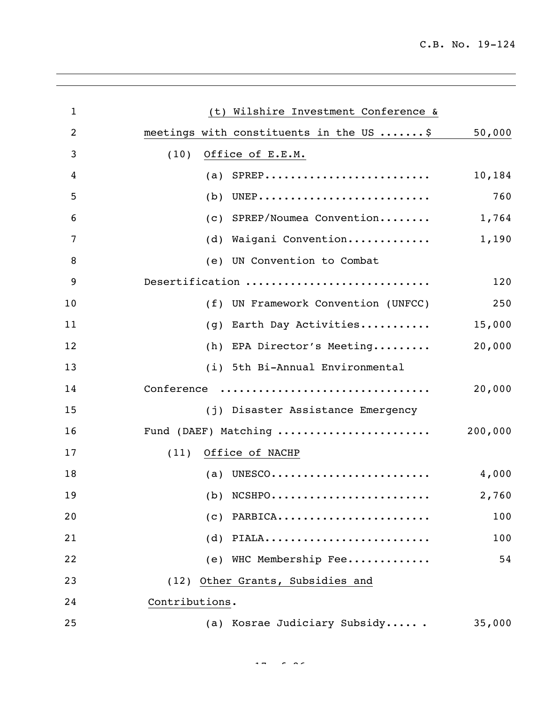| $\mathbf{1}$   | (t) Wilshire Investment Conference &              |
|----------------|---------------------------------------------------|
| $\overline{2}$ | meetings with constituents in the US \$<br>50,000 |
| 3              | (10)<br>Office of E.E.M.                          |
| 4              | (a) $SPREP$<br>10,184                             |
| 5              | 760<br>$(b)$ UNEP                                 |
| 6              | (c) SPREP/Noumea Convention<br>1,764              |
| 7              | (d) Waigani Convention<br>1,190                   |
| 8              | (e) UN Convention to Combat                       |
| 9              | Desertification<br>120                            |
| 10             | (f) UN Framework Convention (UNFCC)<br>250        |
| 11             | (g) Earth Day Activities<br>15,000                |
| 12             | 20,000<br>(h) EPA Director's Meeting              |
| 13             | (i) 5th Bi-Annual Environmental                   |
| 14             | Conference<br>20,000                              |
| 15             | (j) Disaster Assistance Emergency                 |
| 16             | Fund (DAEF) Matching<br>200,000                   |
| 17             | Office of NACHP<br>(11)                           |
| 18             | (a) UNESCO<br>4,000                               |
| 19             | $(b)$ NCSHPO<br>2,760                             |
| 20             | $(c)$ PARBICA<br>100                              |
| 21             | $(d)$ PIALA<br>100                                |
| 22             | (e) WHC Membership Fee<br>54                      |
| 23             | (12) Other Grants, Subsidies and                  |
| 24             | Contributions.                                    |
| 25             | (a) Kosrae Judiciary Subsidy<br>35,000            |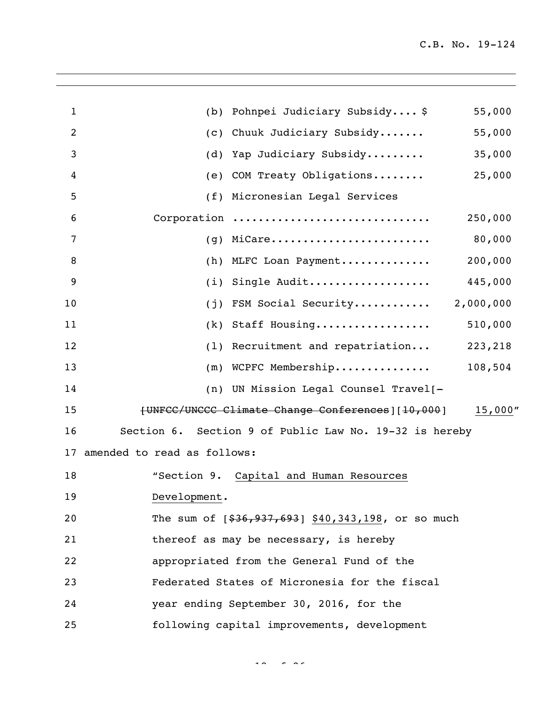| 1  | (b) Pohnpei Judiciary Subsidy \$                       | 55,000    |
|----|--------------------------------------------------------|-----------|
| 2  | (c) Chuuk Judiciary Subsidy                            | 55,000    |
| 3  | (d) Yap Judiciary Subsidy                              | 35,000    |
| 4  | (e) COM Treaty Obligations                             | 25,000    |
| 5  | (f) Micronesian Legal Services                         |           |
| 6  | Corporation                                            | 250,000   |
| 7  | MiCare<br>(q)                                          | 80,000    |
| 8  | (h) MLFC Loan Payment                                  | 200,000   |
| 9  | Single Audit<br>(i)                                    | 445,000   |
| 10 | (j) FSM Social Security                                | 2,000,000 |
| 11 | (k) Staff Housing                                      | 510,000   |
| 12 | (1) Recruitment and repatriation                       | 223,218   |
| 13 | $(m)$ WCPFC Membership                                 | 108,504   |
| 14 | (n) UN Mission Legal Counsel Travel[-                  |           |
| 15 | [UNFCC/UNCCC Climate Change Conferences] [10,000]      | 15,000''  |
| 16 | Section 6. Section 9 of Public Law No. 19-32 is hereby |           |
| 17 | amended to read as follows:                            |           |
| 18 | "Section 9. Capital and Human Resources                |           |
| 19 | Development.                                           |           |
| 20 | The sum of $[$36,937,693]$ \$40,343,198, or so much    |           |
| 21 | thereof as may be necessary, is hereby                 |           |
| 22 | appropriated from the General Fund of the              |           |
| 23 | Federated States of Micronesia for the fiscal          |           |
| 24 | year ending September 30, 2016, for the                |           |
| 25 | following capital improvements, development            |           |
|    |                                                        |           |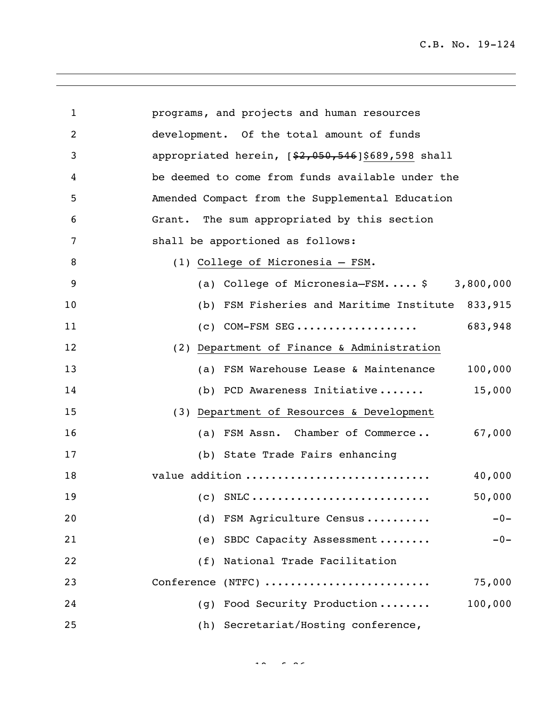| $\mathbf{1}$   | programs, and projects and human resources          |
|----------------|-----------------------------------------------------|
| $\overline{c}$ | development. Of the total amount of funds           |
| 3              | appropriated herein, $[$2,050,546]$ \$689,598 shall |
| 4              | be deemed to come from funds available under the    |
| 5              | Amended Compact from the Supplemental Education     |
| 6              | Grant. The sum appropriated by this section         |
| 7              | shall be apportioned as follows:                    |
| 8              | (1) College of Micronesia - FSM.                    |
| 9              | (a) College of Micronesia-FSM $$3,800,000$          |
| 10             | (b) FSM Fisheries and Maritime Institute<br>833,915 |
| 11             | 683,948<br>$(c)$ COM-FSM SEG                        |
| 12             | (2) Department of Finance & Administration          |
| 13             | 100,000<br>(a) FSM Warehouse Lease & Maintenance    |
| 14             | (b) PCD Awareness Initiative<br>15,000              |
| 15             | (3) Department of Resources & Development           |
| 16             | (a) FSM Assn. Chamber of Commerce<br>67,000         |
| 17             | (b) State Trade Fairs enhancing                     |
| 18             | value addition<br>40,000                            |
| 19             | 50,000<br>$(C)$ SNLC                                |
| 20             | FSM Agriculture Census<br>(d)<br>$-0-$              |
| 21             | SBDC Capacity Assessment<br>(e)<br>$-0-$            |
| 22             | National Trade Facilitation<br>(f)                  |
| 23             | Conference (NTFC)<br>75,000                         |
| 24             | 100,000<br>Food Security Production<br>(q)          |
| 25             | (h) Secretariat/Hosting conference,                 |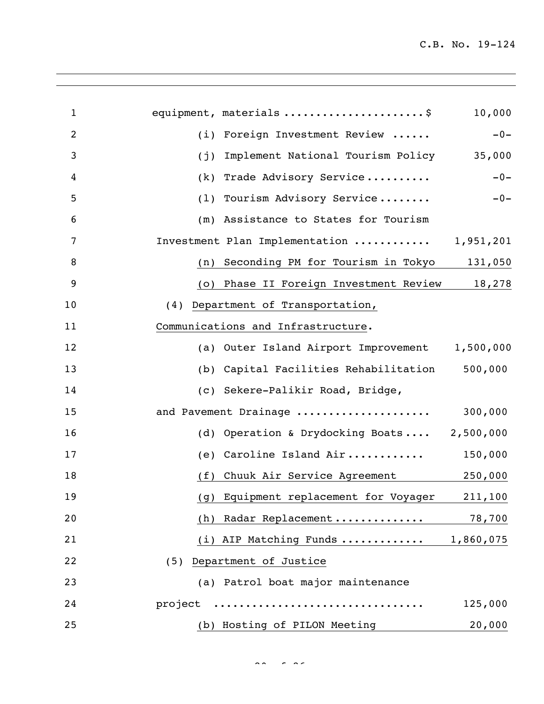| $\mathbf{1}$   | equipment, materials \$                          | 10,000  |
|----------------|--------------------------------------------------|---------|
| $\overline{2}$ | Foreign Investment Review<br>(i)                 | $-0-$   |
| 3              | Implement National Tourism Policy<br>(j)         | 35,000  |
| 4              | Trade Advisory Service<br>(k)                    | $-0-$   |
| 5              | Tourism Advisory Service<br>(1)                  | $-0-$   |
| 6              | Assistance to States for Tourism<br>(m)          |         |
| 7              | Investment Plan Implementation  1,951,201        |         |
| 8              | Seconding PM for Tourism in Tokyo<br>(n)         | 131,050 |
| 9              | Phase II Foreign Investment Review 18,278<br>(0) |         |
| 10             | (4) Department of Transportation,                |         |
| 11             | Communications and Infrastructure.               |         |
| 12             | (a) Outer Island Airport Improvement 1,500,000   |         |
| 13             | Capital Facilities Rehabilitation<br>(b)         | 500,000 |
| 14             | (c) Sekere-Palikir Road, Bridge,                 |         |
| 15             | and Pavement Drainage                            | 300,000 |
| 16             | Operation & Drydocking Boats 2,500,000<br>(d)    |         |
| 17             | Caroline Island Air<br>(e)                       | 150,000 |
| 18             | Chuuk Air Service Agreement 250,000<br>(f)       |         |
| 19             | (g) Equipment replacement for Voyager 211,100    |         |
| 20             | Radar Replacement<br>(h)                         | 78,700  |
| 21             | (i) AIP Matching Funds  1,860,075                |         |
| 22             | (5) Department of Justice                        |         |
| 23             | (a) Patrol boat major maintenance                |         |
| 24             | project                                          | 125,000 |
| 25             | (b) Hosting of PILON Meeting                     | 20,000  |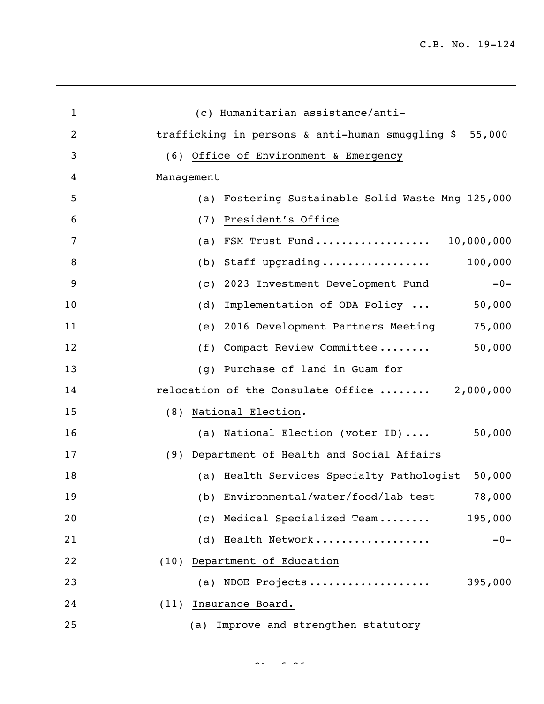| 1  | (c) Humanitarian assistance/anti-                          |
|----|------------------------------------------------------------|
| 2  | trafficking in persons & anti-human smuggling \$<br>55,000 |
| 3  | (6) Office of Environment & Emergency                      |
| 4  | Management                                                 |
| 5  | Fostering Sustainable Solid Waste Mng 125,000<br>(a)       |
| 6  | President's Office<br>(7)                                  |
| 7  | FSM Trust Fund 10,000,000<br>(a)                           |
| 8  | 100,000<br>Staff upgrading<br>(b)                          |
| 9  | 2023 Investment Development Fund<br>$-0-$<br>(C)           |
| 10 | Implementation of ODA Policy<br>50,000<br>(d)              |
| 11 | 75,000<br>2016 Development Partners Meeting<br>(e)         |
| 12 | 50,000<br>Compact Review Committee<br>(f)                  |
| 13 | Purchase of land in Guam for<br>(q)                        |
| 14 | relocation of the Consulate Office  2,000,000              |
| 15 | National Election.<br>(8)                                  |
| 16 | (a) National Election (voter ID)<br>50,000                 |
| 17 | (9) Department of Health and Social Affairs                |
| 18 | (a) Health Services Specialty Pathologist<br>50,000        |
| 19 | (b) Environmental/water/food/lab test<br>78,000            |
| 20 | (c) Medical Specialized Team<br>195,000                    |
| 21 | (d) Health Network<br>$-0-$                                |
| 22 | (10) Department of Education                               |
| 23 | (a) NDOE Projects<br>395,000                               |
| 24 | (11) Insurance Board.                                      |
| 25 | Improve and strengthen statutory<br>(a)                    |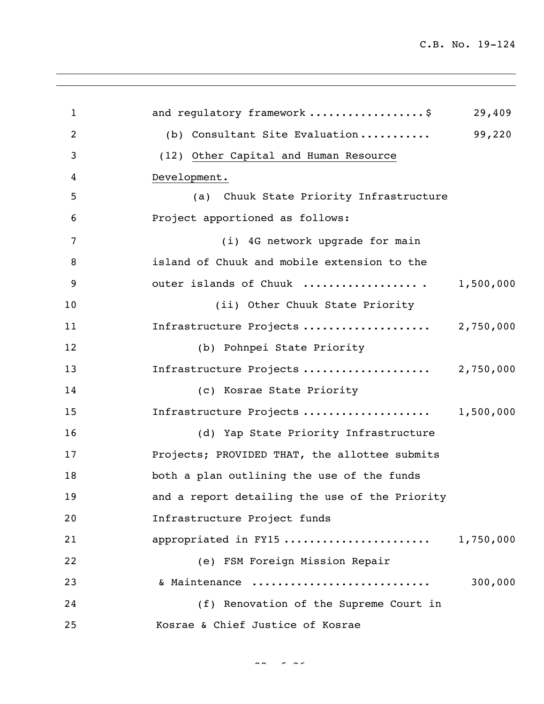| 1              | and regulatory framework \$                    | 29,409    |
|----------------|------------------------------------------------|-----------|
| 2              | (b) Consultant Site Evaluation                 | 99,220    |
| 3              | (12) Other Capital and Human Resource          |           |
| $\overline{4}$ | Development.                                   |           |
| 5              | (a) Chuuk State Priority Infrastructure        |           |
| 6              | Project apportioned as follows:                |           |
| 7              | (i) 4G network upgrade for main                |           |
| 8              | island of Chuuk and mobile extension to the    |           |
| 9              | outer islands of Chuuk                         | 1,500,000 |
| 10             | (ii) Other Chuuk State Priority                |           |
| 11             | Infrastructure Projects                        | 2,750,000 |
| 12             | (b) Pohnpei State Priority                     |           |
| 13             | Infrastructure Projects                        | 2,750,000 |
| 14             | (c) Kosrae State Priority                      |           |
| 15             | Infrastructure Projects                        | 1,500,000 |
| 16             | (d) Yap State Priority Infrastructure          |           |
| 17             | Projects; PROVIDED THAT, the allottee submits  |           |
| 18             | both a plan outlining the use of the funds     |           |
| 19             | and a report detailing the use of the Priority |           |
| 20             | Infrastructure Project funds                   |           |
| 21             | appropriated in FY15                           | 1,750,000 |
| 22             | (e) FSM Foreign Mission Repair                 |           |
| 23             | & Maintenance                                  | 300,000   |
| 24             | (f) Renovation of the Supreme Court in         |           |
| 25             | Kosrae & Chief Justice of Kosrae               |           |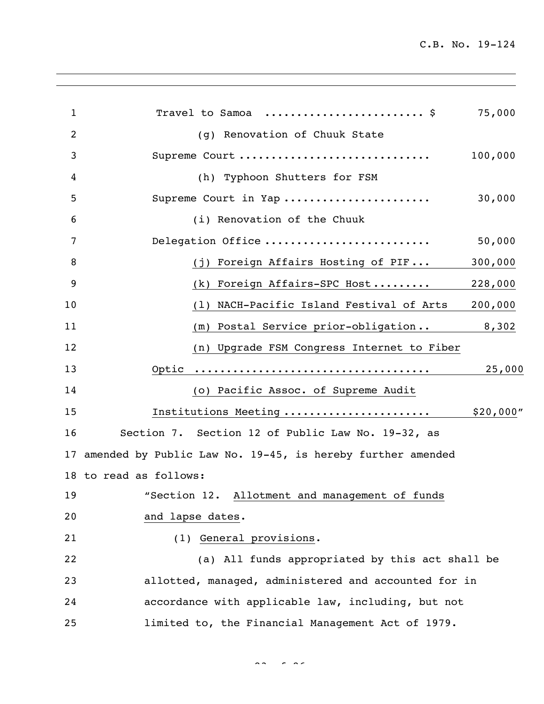| $\mathbf{1}$ | Travel to Samoa  \$                                           | 75,000    |
|--------------|---------------------------------------------------------------|-----------|
| 2            | (g) Renovation of Chuuk State                                 |           |
| 3            | Supreme Court                                                 | 100,000   |
| 4            | (h) Typhoon Shutters for FSM                                  |           |
| 5            | Supreme Court in Yap                                          | 30,000    |
| 6            | (i) Renovation of the Chuuk                                   |           |
| 7            | Delegation Office                                             | 50,000    |
| 8            | (j) Foreign Affairs Hosting of PIF                            | 300,000   |
| 9            | (k) Foreign Affairs-SPC Host                                  | 228,000   |
| 10           | (1) NACH-Pacific Island Festival of Arts                      | 200,000   |
| 11           | (m) Postal Service prior-obligation                           | 8,302     |
| 12           | (n) Upgrade FSM Congress Internet to Fiber                    |           |
| 13           |                                                               | 25,000    |
| 14           | (o) Pacific Assoc. of Supreme Audit                           |           |
| 15           | Institutions Meeting                                          | \$20,000" |
| 16           | Section 7. Section 12 of Public Law No. 19-32, as             |           |
|              | 17 amended by Public Law No. 19-45, is hereby further amended |           |
|              | 18 to read as follows:                                        |           |
| 19           | "Section 12. Allotment and management of funds                |           |
| 20           | and lapse dates.                                              |           |
| 21           | (1) General provisions.                                       |           |
| 22           | (a) All funds appropriated by this act shall be               |           |
| 23           | allotted, managed, administered and accounted for in          |           |
| 24           | accordance with applicable law, including, but not            |           |
| 25           | limited to, the Financial Management Act of 1979.             |           |
|              |                                                               |           |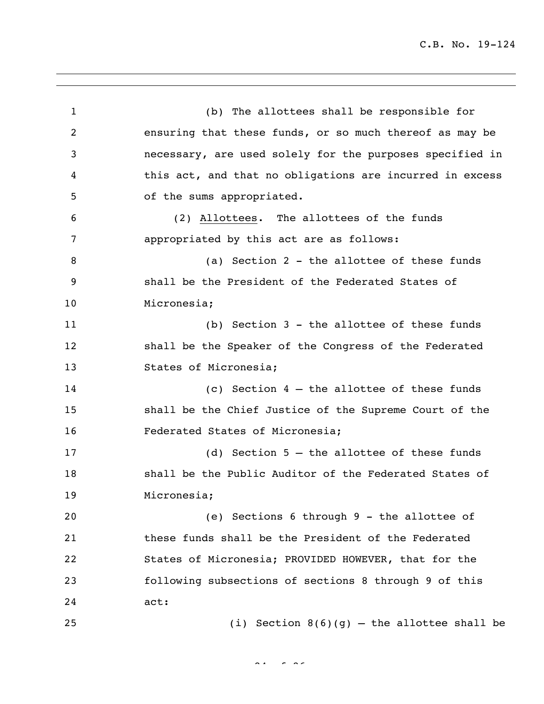(b) The allottees shall be responsible for ensuring that these funds, or so much thereof as may be necessary, are used solely for the purposes specified in this act, and that no obligations are incurred in excess of the sums appropriated. (2) Allottees. The allottees of the funds appropriated by this act are as follows: 8 (a) Section 2 - the allottee of these funds shall be the President of the Federated States of Micronesia; (b) Section 3 - the allottee of these funds shall be the Speaker of the Congress of the Federated States of Micronesia; (c) Section 4 – the allottee of these funds shall be the Chief Justice of the Supreme Court of the Federated States of Micronesia; (d) Section 5 – the allottee of these funds shall be the Public Auditor of the Federated States of Micronesia; (e) Sections 6 through 9 - the allottee of these funds shall be the President of the Federated States of Micronesia; PROVIDED HOWEVER, that for the following subsections of sections 8 through 9 of this act: (i) Section 8(6)(g) – the allottee shall be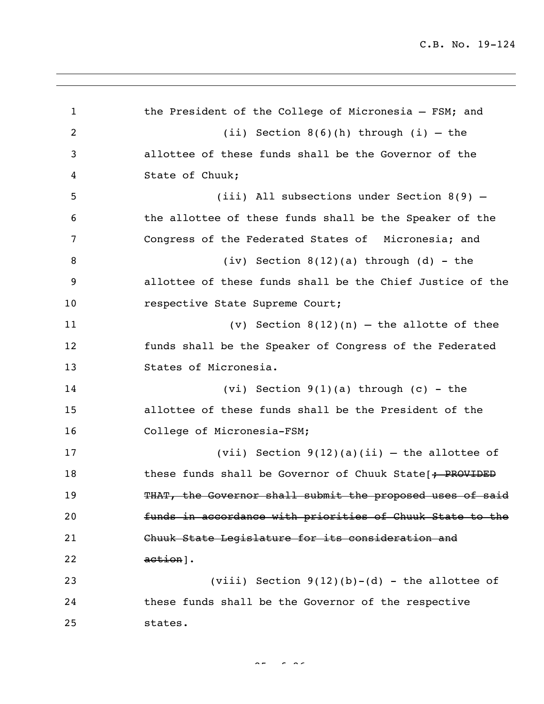1 the President of the College of Micronesia - FSM; and (ii) Section 8(6)(h) through (i) – the allottee of these funds shall be the Governor of the State of Chuuk; (iii) All subsections under Section 8(9) – the allottee of these funds shall be the Speaker of the Congress of the Federated States of Micronesia; and (iv) Section 8(12)(a) through (d) - the allottee of these funds shall be the Chief Justice of the 10 respective State Supreme Court; (v) Section 8(12)(n) – the allotte of thee funds shall be the Speaker of Congress of the Federated States of Micronesia. (vi) Section 9(1)(a) through (c) - the allottee of these funds shall be the President of the College of Micronesia-FSM; (vii) Section 9(12)(a)(ii) – the allottee of 18 these funds shall be Governor of Chuuk State[; PROVIDED 19 THAT, the Governor shall submit the proposed uses of said funds in accordance with priorities of Chuuk State to the Chuuk State Legislature for its consideration and action]. 23 (viii) Section  $9(12)(b)-(d)$  - the allottee of these funds shall be the Governor of the respective states.